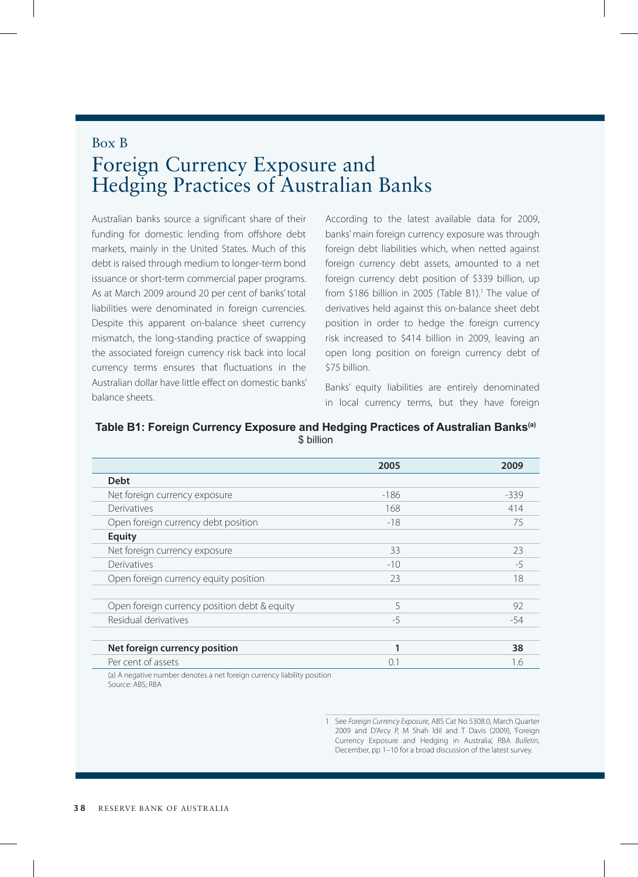## Box B Foreign Currency Exposure and Hedging Practices of Australian Banks

Australian banks source a significant share of their funding for domestic lending from offshore debt markets, mainly in the United States. Much of this debt is raised through medium to longer-term bond issuance or short-term commercial paper programs. As at March 2009 around 20 per cent of banks' total liabilities were denominated in foreign currencies. Despite this apparent on-balance sheet currency mismatch, the long-standing practice of swapping the associated foreign currency risk back into local currency terms ensures that fluctuations in the Australian dollar have little effect on domestic banks' balance sheets.

According to the latest available data for 2009, banks' main foreign currency exposure was through foreign debt liabilities which, when netted against foreign currency debt assets, amounted to a net foreign currency debt position of \$339 billion, up from \$186 billion in 2005 (Table B1).<sup>1</sup> The value of derivatives held against this on-balance sheet debt position in order to hedge the foreign currency risk increased to \$414 billion in 2009, leaving an open long position on foreign currency debt of \$75 billion.

Banks' equity liabilities are entirely denominated in local currency terms, but they have foreign

**Table B1: Foreign Currency Exposure and Hedging Practices of Australian Banks(a)** \$ billion

|                                              | 2005   | 2009   |
|----------------------------------------------|--------|--------|
| <b>Debt</b>                                  |        |        |
| Net foreign currency exposure                | $-186$ | $-339$ |
| Derivatives                                  | 168    | 414    |
| Open foreign currency debt position          | $-18$  | 75     |
| <b>Equity</b>                                |        |        |
| Net foreign currency exposure                | 33     | 23     |
| Derivatives                                  | $-10$  | $-5$   |
| Open foreign currency equity position        | 23     | 18     |
|                                              |        |        |
| Open foreign currency position debt & equity | 5      | 92     |
| Residual derivatives                         | $-5$   | $-54$  |
|                                              |        |        |
| Net foreign currency position                | 1      | 38     |
| Per cent of assets                           | 0.1    | 1.6    |
|                                              |        |        |

(a) A negative number denotes a net foreign currency liability position Source: ABS; RBA

> 1 See *Foreign Currency Exposure*, ABS Cat No 5308.0, March Quarter 2009 and D'Arcy P, M Shah ldil and T Davis (2009), 'Foreign Currency Exposure and Hedging in Australia', RBA *Bulletin*, December, pp 1–10 for a broad discussion of the latest survey.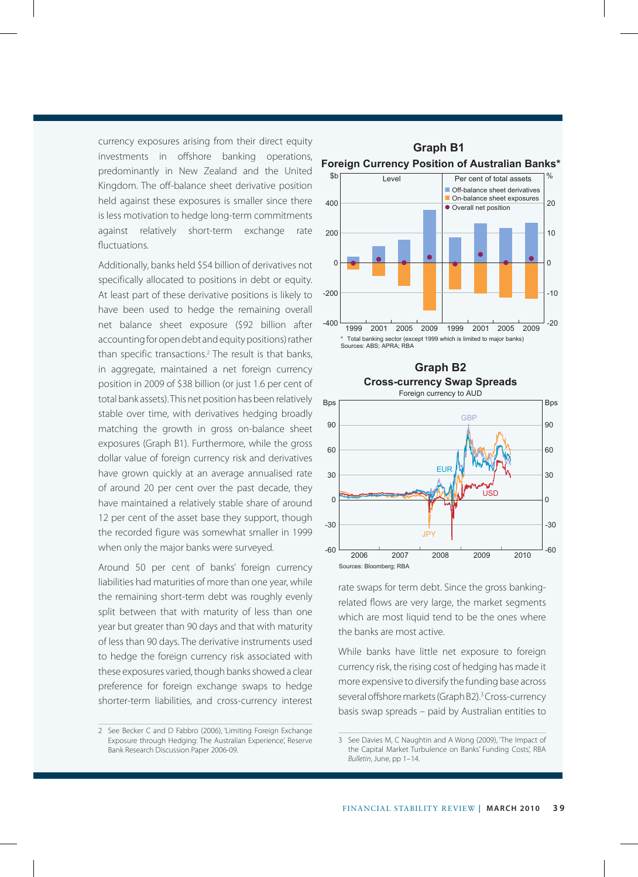currency exposures arising from their direct equity investments in offshore banking operations, predominantly in New Zealand and the United Kingdom. The off-balance sheet derivative position held against these exposures is smaller since there is less motivation to hedge long-term commitments against relatively short-term exchange rate fluctuations.

Additionally, banks held \$54 billion of derivatives not specifically allocated to positions in debt or equity. At least part of these derivative positions is likely to have been used to hedge the remaining overall net balance sheet exposure (\$92 billion after accounting for open debt and equity positions) rather than specific transactions.2 The result is that banks, in aggregate, maintained a net foreign currency position in 2009 of \$38 billion (or just 1.6 per cent of total bank assets). This net position has been relatively stable over time, with derivatives hedging broadly matching the growth in gross on-balance sheet exposures (Graph B1). Furthermore, while the gross dollar value of foreign currency risk and derivatives have grown quickly at an average annualised rate of around 20 per cent over the past decade, they have maintained a relatively stable share of around 12 per cent of the asset base they support, though the recorded figure was somewhat smaller in 1999 when only the major banks were surveyed.

Around 50 per cent of banks' foreign currency liabilities had maturities of more than one year, while the remaining short-term debt was roughly evenly split between that with maturity of less than one year but greater than 90 days and that with maturity of less than 90 days. The derivative instruments used to hedge the foreign currency risk associated with these exposures varied, though banks showed a clear preference for foreign exchange swaps to hedge shorter-term liabilities, and cross-currency interest





rate swaps for term debt. Since the gross bankingrelated flows are very large, the market segments which are most liquid tend to be the ones where the banks are most active.

While banks have little net exposure to foreign currency risk, the rising cost of hedging has made it more expensive to diversify the funding base across several offshore markets (Graph B2).<sup>3</sup> Cross-currency basis swap spreads – paid by Australian entities to

<sup>2</sup> See Becker C and D Fabbro (2006), 'Limiting Foreign Exchange Exposure through Hedging: The Australian Experience', Reserve Bank Research Discussion Paper 2006-09.

<sup>3</sup> See Davies M, C Naughtin and A Wong (2009), 'The Impact of the Capital Market Turbulence on Banks' Funding Costs', RBA *Bulletin*, June, pp 1–14.